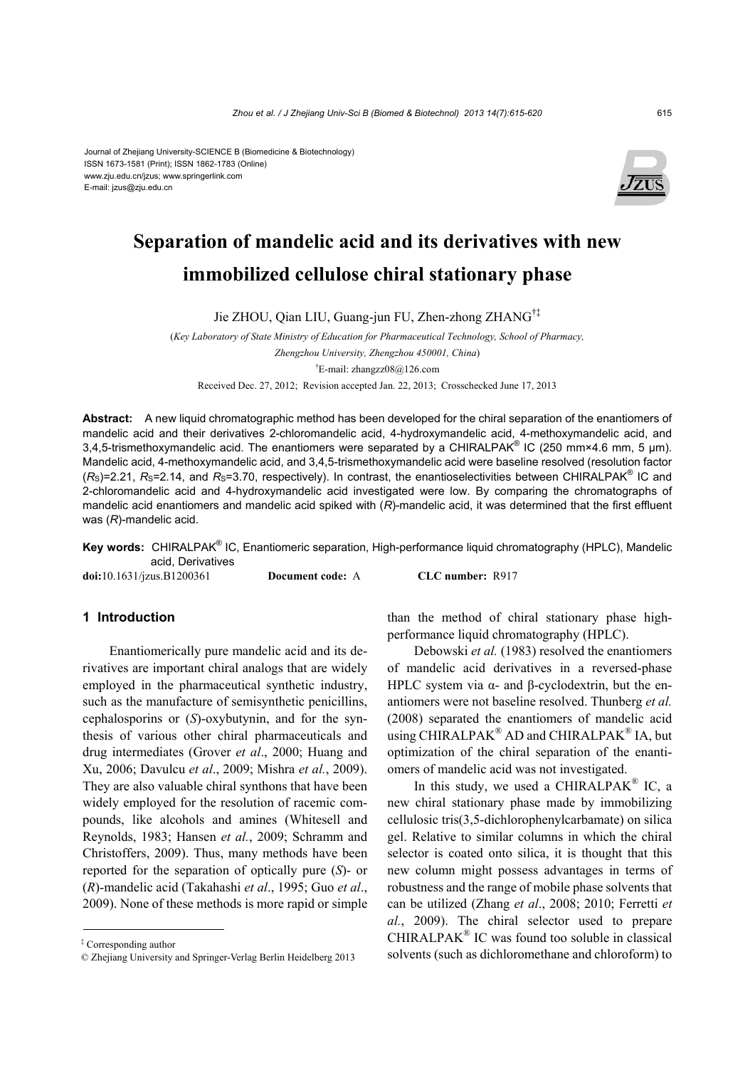#### Journal of Zhejiang University-SCIENCE B (Biomedicine & Biotechnology) ISSN 1673-1581 (Print); ISSN 1862-1783 (Online) www.zju.edu.cn/jzus; www.springerlink.com E-mail: jzus@zju.edu.cn



# **Separation of mandelic acid and its derivatives with new immobilized cellulose chiral stationary phase**

Jie ZHOU, Qian LIU, Guang-jun FU, Zhen-zhong ZHANG†‡

(*Key Laboratory of State Ministry of Education for Pharmaceutical Technology, School of Pharmacy, Zhengzhou University, Zhengzhou 450001, China*) † E-mail: zhangzz08@126.com Received Dec. 27, 2012; Revision accepted Jan. 22, 2013; Crosschecked June 17, 2013

**Abstract:** A new liquid chromatographic method has been developed for the chiral separation of the enantiomers of mandelic acid and their derivatives 2-chloromandelic acid, 4-hydroxymandelic acid, 4-methoxymandelic acid, and 3,4,5-trismethoxymandelic acid. The enantiomers were separated by a CHIRALPAK<sup>®</sup> IC (250 mm×4.6 mm, 5 µm). Mandelic acid, 4-methoxymandelic acid, and 3,4,5-trismethoxymandelic acid were baseline resolved (resolution factor  $(R<sub>S</sub>)$ =2.21,  $R<sub>S</sub>$ =2.14, and  $R<sub>S</sub>$ =3.70, respectively). In contrast, the enantioselectivities between CHIRALPAK<sup>®</sup> IC and 2-chloromandelic acid and 4-hydroxymandelic acid investigated were low. By comparing the chromatographs of mandelic acid enantiomers and mandelic acid spiked with (*R*)-mandelic acid, it was determined that the first effluent was (*R*)-mandelic acid.

Key words: CHIRALPAK<sup>®</sup> IC, Enantiomeric separation, High-performance liquid chromatography (HPLC), Mandelic acid, Derivatives

**doi:**10.1631/jzus.B1200361 **Document code:** A **CLC number:** R917

**1 Introduction** 

Enantiomerically pure mandelic acid and its derivatives are important chiral analogs that are widely employed in the pharmaceutical synthetic industry, such as the manufacture of semisynthetic penicillins, cephalosporins or (*S*)-oxybutynin, and for the synthesis of various other chiral pharmaceuticals and drug intermediates (Grover *et al*., 2000; Huang and Xu, 2006; Davulcu *et al*., 2009; Mishra *et al.*, 2009). They are also valuable chiral synthons that have been widely employed for the resolution of racemic compounds, like alcohols and amines (Whitesell and Reynolds, 1983; Hansen *et al.*, 2009; Schramm and Christoffers, 2009). Thus, many methods have been reported for the separation of optically pure (*S*)- or (*R*)-mandelic acid (Takahashi *et al*., 1995; Guo *et al*., 2009). None of these methods is more rapid or simple than the method of chiral stationary phase highperformance liquid chromatography (HPLC).

Debowski *et al.* (1983) resolved the enantiomers of mandelic acid derivatives in a reversed-phase HPLC system via  $\alpha$ - and β-cyclodextrin, but the enantiomers were not baseline resolved. Thunberg *et al.* (2008) separated the enantiomers of mandelic acid using CHIRALPAK<sup>®</sup> AD and CHIRALPAK<sup>®</sup> IA, but optimization of the chiral separation of the enantiomers of mandelic acid was not investigated.

In this study, we used a CHIRALPAK<sup>®</sup> IC, a new chiral stationary phase made by immobilizing cellulosic tris(3,5-dichlorophenylcarbamate) on silica gel. Relative to similar columns in which the chiral selector is coated onto silica, it is thought that this new column might possess advantages in terms of robustness and the range of mobile phase solvents that can be utilized (Zhang *et al*., 2008; 2010; Ferretti *et al.*, 2009). The chiral selector used to prepare CHIRALPAK® IC was found too soluble in classical solvents (such as dichloromethane and chloroform) to

<sup>‡</sup> Corresponding author

<sup>©</sup> Zhejiang University and Springer-Verlag Berlin Heidelberg 2013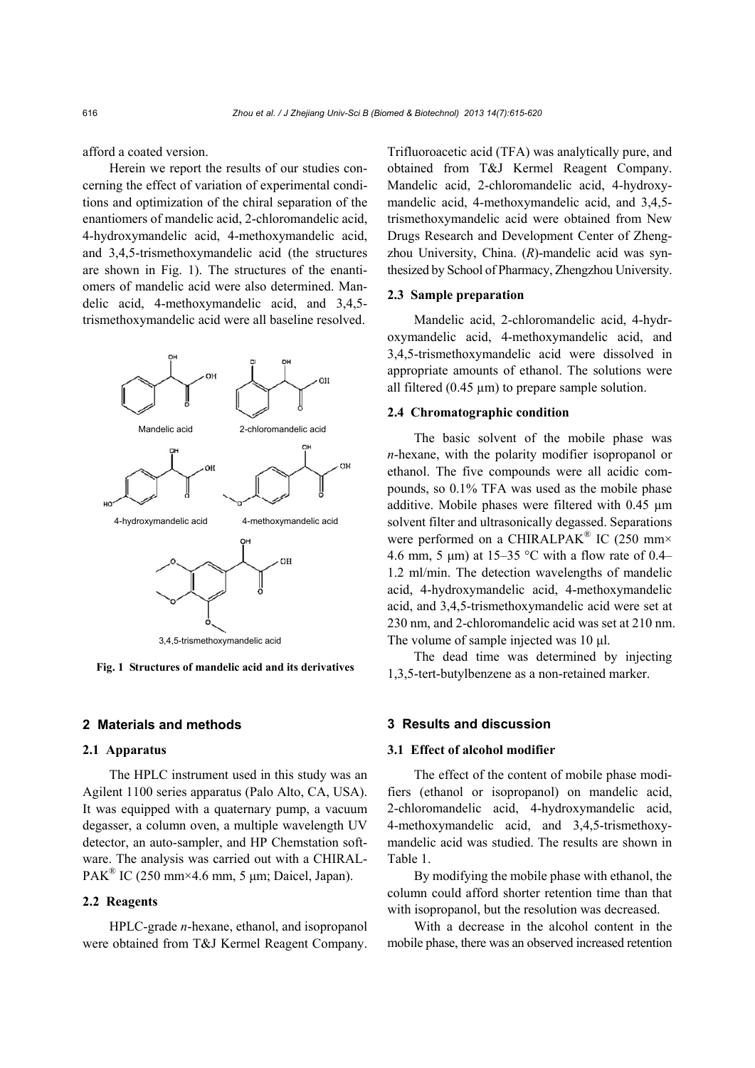afford a coated version.

Herein we report the results of our studies concerning the effect of variation of experimental conditions and optimization of the chiral separation of the enantiomers of mandelic acid, 2-chloromandelic acid, 4-hydroxymandelic acid, 4-methoxymandelic acid, and 3,4,5-trismethoxymandelic acid (the structures are shown in Fig. 1). The structures of the enantiomers of mandelic acid were also determined. Mandelic acid, 4-methoxymandelic acid, and 3,4,5 trismethoxymandelic acid were all baseline resolved.



**Fig. 1 Structures of mandelic acid and its derivatives** 

# **2 Materials and methods**

# **2.1 Apparatus**

The HPLC instrument used in this study was an Agilent 1100 series apparatus (Palo Alto, CA, USA). It was equipped with a quaternary pump, a vacuum degasser, a column oven, a multiple wavelength UV detector, an auto-sampler, and HP Chemstation software. The analysis was carried out with a CHIRAL- $PAK^{\text{W}}$  IC (250 mm×4.6 mm, 5 µm; Daicel, Japan).

# **2.2 Reagents**

HPLC-grade *n*-hexane, ethanol, and isopropanol were obtained from T&J Kermel Reagent Company.

Trifluoroacetic acid (TFA) was analytically pure, and obtained from T&J Kermel Reagent Company. Mandelic acid, 2-chloromandelic acid, 4-hydroxymandelic acid, 4-methoxymandelic acid, and 3,4,5 trismethoxymandelic acid were obtained from New Drugs Research and Development Center of Zhengzhou University, China. (*R*)-mandelic acid was synthesized by School of Pharmacy, Zhengzhou University.

# **2.3 Sample preparation**

Mandelic acid, 2-chloromandelic acid, 4-hydroxymandelic acid, 4-methoxymandelic acid, and 3,4,5-trismethoxymandelic acid were dissolved in appropriate amounts of ethanol. The solutions were all filtered  $(0.45 \mu m)$  to prepare sample solution.

# **2.4 Chromatographic condition**

The basic solvent of the mobile phase was *n*-hexane, with the polarity modifier isopropanol or ethanol. The five compounds were all acidic compounds, so 0.1% TFA was used as the mobile phase additive. Mobile phases were filtered with 0.45 µm solvent filter and ultrasonically degassed. Separations were performed on a CHIRALPAK<sup>®</sup> IC (250 mm× 4.6 mm, 5  $\mu$ m) at 15–35 °C with a flow rate of 0.4– 1.2 ml/min. The detection wavelengths of mandelic acid, 4-hydroxymandelic acid, 4-methoxymandelic acid, and 3,4,5-trismethoxymandelic acid were set at 230 nm, and 2-chloromandelic acid was set at 210 nm. The volume of sample injected was 10 μl.

The dead time was determined by injecting 1,3,5-tert-butylbenzene as a non-retained marker.

# **3 Results and discussion**

# **3.1 Effect of alcohol modifier**

The effect of the content of mobile phase modifiers (ethanol or isopropanol) on mandelic acid, 2-chloromandelic acid, 4-hydroxymandelic acid, 4-methoxymandelic acid, and 3,4,5-trismethoxymandelic acid was studied. The results are shown in Table 1.

By modifying the mobile phase with ethanol, the column could afford shorter retention time than that with isopropanol, but the resolution was decreased.

With a decrease in the alcohol content in the mobile phase, there was an observed increased retention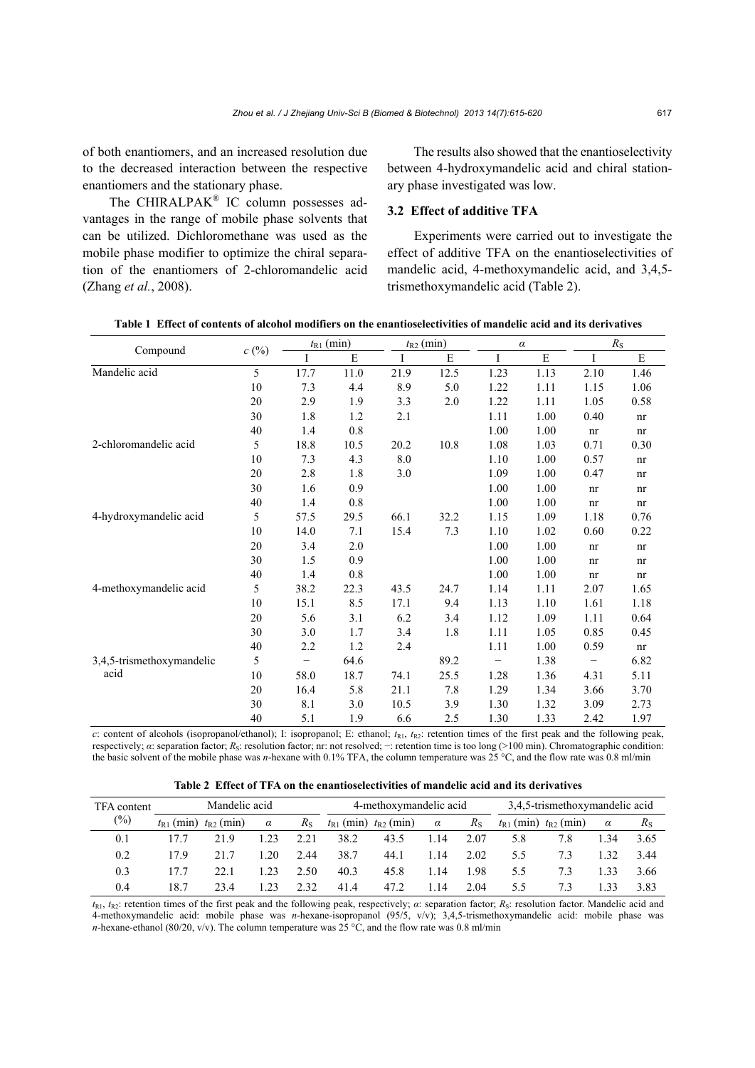of both enantiomers, and an increased resolution due to the decreased interaction between the respective enantiomers and the stationary phase.

The CHIRALPAK<sup>®</sup> IC column possesses advantages in the range of mobile phase solvents that can be utilized. Dichloromethane was used as the mobile phase modifier to optimize the chiral separation of the enantiomers of 2-chloromandelic acid (Zhang *et al.*, 2008).

The results also showed that the enantioselectivity between 4-hydroxymandelic acid and chiral stationary phase investigated was low.

# **3.2 Effect of additive TFA**

Experiments were carried out to investigate the effect of additive TFA on the enantioselectivities of mandelic acid, 4-methoxymandelic acid, and 3,4,5 trismethoxymandelic acid (Table 2).

| Compound                  | c(%) | $t_{R1}$ (min)    |         |      | $t_{R2}$ (min) |      | $\alpha$ | $R_{\rm S}$ |      |  |
|---------------------------|------|-------------------|---------|------|----------------|------|----------|-------------|------|--|
|                           |      |                   | E       | I    | E              | L    | E        | I           | E    |  |
| Mandelic acid             | 5    | 17.7              | 11.0    | 21.9 | 12.5           | 1.23 | 1.13     | 2.10        | 1.46 |  |
|                           | 10   | 7.3               | 4.4     | 8.9  | 5.0            | 1.22 | 1.11     | 1.15        | 1.06 |  |
|                           | 20   | 2.9               | 1.9     | 3.3  | 2.0            | 1.22 | 1.11     | 1.05        | 0.58 |  |
|                           | 30   | 1.8               | 1.2     | 2.1  |                | 1.11 | 1.00     | 0.40        | nr   |  |
|                           | 40   | 1.4               | $0.8\,$ |      |                | 1.00 | 1.00     | nr          | nr   |  |
| 2-chloromandelic acid     | 5    | 18.8              | 10.5    | 20.2 | 10.8           | 1.08 | 1.03     | 0.71        | 0.30 |  |
|                           | 10   | 7.3               | 4.3     | 8.0  |                | 1.10 | 1.00     | 0.57        | nr   |  |
|                           | 20   | 2.8               | 1.8     | 3.0  |                | 1.09 | 1.00     | 0.47        | nr   |  |
|                           | 30   | 1.6               | 0.9     |      |                | 1.00 | 1.00     | nr          | nr   |  |
|                           | 40   | 1.4               | 0.8     |      |                | 1.00 | 1.00     | nr          | nr   |  |
| 4-hydroxymandelic acid    | 5    | 57.5              | 29.5    | 66.1 | 32.2           | 1.15 | 1.09     | 1.18        | 0.76 |  |
|                           | 10   | 14.0              | 7.1     | 15.4 | 7.3            | 1.10 | 1.02     | 0.60        | 0.22 |  |
|                           | 20   | 3.4               | 2.0     |      |                | 1.00 | 1.00     | nr          | nr   |  |
|                           | 30   | 1.5               | 0.9     |      |                | 1.00 | 1.00     | nr          | nr   |  |
|                           | 40   | 1.4               | 0.8     |      |                | 1.00 | 1.00     | nr          | nr   |  |
| 4-methoxymandelic acid    | 5    | 38.2              | 22.3    | 43.5 | 24.7           | 1.14 | 1.11     | 2.07        | 1.65 |  |
|                           | 10   | 15.1              | 8.5     | 17.1 | 9.4            | 1.13 | 1.10     | 1.61        | 1.18 |  |
|                           | 20   | 5.6               | 3.1     | 6.2  | 3.4            | 1.12 | 1.09     | 1.11        | 0.64 |  |
|                           | 30   | 3.0               | 1.7     | 3.4  | 1.8            | 1.11 | 1.05     | 0.85        | 0.45 |  |
|                           | 40   | 2.2               | 1.2     | 2.4  |                | 1.11 | 1.00     | 0.59        | nr   |  |
| 3,4,5-trismethoxymandelic | 5    | $\qquad \qquad -$ | 64.6    |      | 89.2           | -    | 1.38     | -           | 6.82 |  |
| acid                      | 10   | 58.0              | 18.7    | 74.1 | 25.5           | 1.28 | 1.36     | 4.31        | 5.11 |  |
|                           | 20   | 16.4              | 5.8     | 21.1 | 7.8            | 1.29 | 1.34     | 3.66        | 3.70 |  |
|                           | 30   | 8.1               | 3.0     | 10.5 | 3.9            | 1.30 | 1.32     | 3.09        | 2.73 |  |
|                           | 40   | 5.1               | 1.9     | 6.6  | 2.5            | 1.30 | 1.33     | 2.42        | 1.97 |  |

**Table 1 Effect of contents of alcohol modifiers on the enantioselectivities of mandelic acid and its derivatives**

*c*: content of alcohols (isopropanol/ethanol); I: isopropanol; E: ethanol;  $t_{R1}$ ,  $t_{R2}$ : retention times of the first peak and the following peak, respectively; *α*: separation factor; *R<sub>S</sub>*: resolution factor; nr: not resolved; −: retention time is too long (>100 min). Chromatographic condition: the basic solvent of the mobile phase was *n*-hexane with 0.1% TFA, the column temperature was 25 °C, and the flow rate was 0.8 ml/min

|  |  | Table 2 Effect of TFA on the enantioselectivities of mandelic acid and its derivatives |  |  |  |
|--|--|----------------------------------------------------------------------------------------|--|--|--|
|--|--|----------------------------------------------------------------------------------------|--|--|--|

| TFA content |                | Mandelic acid  |          |             |                | 4-methoxymandelic acid |          |             | 3.4.5-trismethoxymandelic acid |                |          |             |
|-------------|----------------|----------------|----------|-------------|----------------|------------------------|----------|-------------|--------------------------------|----------------|----------|-------------|
| $(\%)$      | $t_{R1}$ (min) | $t_{R2}$ (min) | $\alpha$ | $R_{\rm S}$ | $t_{R1}$ (min) | $t_{R2}$ (min)         | $\alpha$ | $R_{\rm S}$ | $t_{R1}$ (min)                 | $t_{R2}$ (min) | $\alpha$ | $R_{\rm S}$ |
| 0.1         |                | 219            | 23       | 2.21        | 38.2           | 43.5                   | .14      | 2.07        | 5.8                            | 7.8            | .34      | 3.65        |
| 0.2         | 17.9           | 217            | 20       | 2.44        | 38.7           | 44.1                   | 1.14     | 2.02        | 5.5                            | 7.3            | .32      | 3.44        |
| 0.3         |                | 22.1           | 23       | 2.50        | 40.3           | 45.8                   | 1.14     | 1.98        | 5.5                            | 7.3            | .33      | 3.66        |
| 0.4         | 18.7           | 23.4           | 23       | 2.32        | 41.4           | 47.2                   | 1.14     | 2.04        | 5.5                            | 7.3            | 33       | 3.83        |

*t*R1, *t*R2: retention times of the first peak and the following peak, respectively; *α*: separation factor; *R*S: resolution factor. Mandelic acid and 4-methoxymandelic acid: mobile phase was *n*-hexane-isopropanol (95/5, v/v); 3,4,5-trismethoxymandelic acid: mobile phase was *n*-hexane-ethanol (80/20, v/v). The column temperature was  $25^{\circ}$ C, and the flow rate was 0.8 ml/min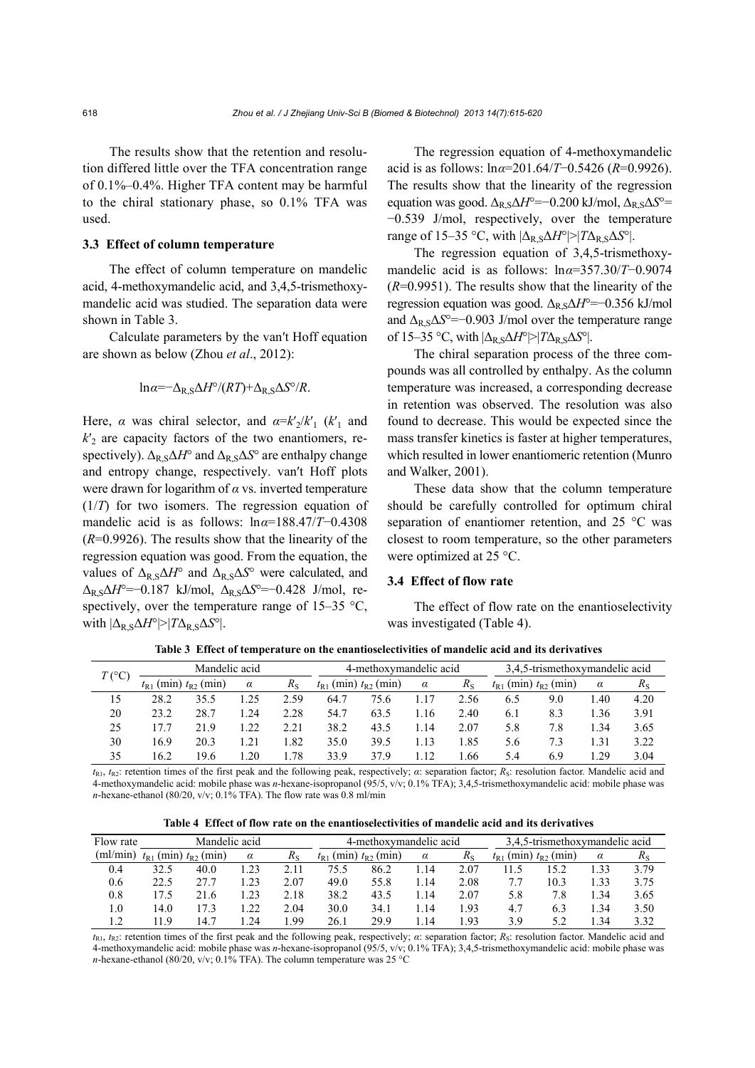The results show that the retention and resolution differed little over the TFA concentration range of 0.1%–0.4%. Higher TFA content may be harmful to the chiral stationary phase, so 0.1% TFA was used.

#### **3.3 Effect of column temperature**

The effect of column temperature on mandelic acid, 4-methoxymandelic acid, and 3,4,5-trismethoxymandelic acid was studied. The separation data were shown in Table 3.

Calculate parameters by the van′t Hoff equation are shown as below (Zhou *et al*., 2012):

$$
\ln \alpha = -\Delta_{R,S} \Delta H^{\circ} / (RT) + \Delta_{R,S} \Delta S^{\circ} / R.
$$

Here,  $\alpha$  was chiral selector, and  $\alpha = k_2/k_1$  ( $k_1$  and  $k<sub>2</sub>$  are capacity factors of the two enantiomers, respectively).  $\Delta_{\text{R}} S \Delta H^{\circ}$  and  $\Delta_{\text{R}} S \Delta S^{\circ}$  are enthalpy change and entropy change, respectively. van′t Hoff plots were drawn for logarithm of *α* vs. inverted temperature (1/*T*) for two isomers. The regression equation of mandelic acid is as follows: ln*α*=188.47/*T*−0.4308 (*R*=0.9926). The results show that the linearity of the regression equation was good. From the equation, the values of  $\Delta_{\rm R,S}\Delta H^{\circ}$  and  $\Delta_{\rm R,S}\Delta S^{\circ}$  were calculated, and ΔR,SΔ*H*°=−0.187 kJ/mol, ΔR,SΔ*S*°=−0.428 J/mol, respectively, over the temperature range of  $15-35$  °C, with  $|\Delta_{\rm R,S}\Delta H^{\circ}| > |T\Delta_{\rm R,S}\Delta S^{\circ}|$ .

The regression equation of 4-methoxymandelic acid is as follows: ln*α*=201.64/*T*−0.5426 (*R*=0.9926). The results show that the linearity of the regression equation was good.  $\Delta$ <sub>R,S</sub> $\Delta$ *H*<sup>o</sup>=−0.200 kJ/mol,  $\Delta$ <sub>R,S</sub> $\Delta$ S<sup>o</sup>= −0.539 J/mol, respectively, over the temperature range of 15–35 °C, with  $|\Delta_R s \Delta H^{\circ}| > |T \Delta_R s \Delta S^{\circ}|$ .

The regression equation of 3,4,5-trismethoxymandelic acid is as follows: ln*α*=357.30/*T*−0.9074 (*R*=0.9951). The results show that the linearity of the regression equation was good. Δ<sub>R,S</sub>Δ*H*<sup>°</sup>=−0.356 kJ/mol and  $\Delta_R$ , s $\Delta S^{\circ}$ =−0.903 J/mol over the temperature range of 15–35 °C, with  $|\Delta_{\rm R,S}\Delta H^{\circ}| > |T\Delta_{\rm R,S}\Delta S^{\circ}|$ .

The chiral separation process of the three compounds was all controlled by enthalpy. As the column temperature was increased, a corresponding decrease in retention was observed. The resolution was also found to decrease. This would be expected since the mass transfer kinetics is faster at higher temperatures, which resulted in lower enantiomeric retention (Munro and Walker, 2001).

These data show that the column temperature should be carefully controlled for optimum chiral separation of enantiomer retention, and 25 °C was closest to room temperature, so the other parameters were optimized at 25 °C.

# **3.4 Effect of flow rate**

The effect of flow rate on the enantioselectivity was investigated (Table 4).

| $T$ (°C)                                | Mandelic acid |      |          |             |                               | 4-methoxymandelic acid |          |             | 3,4,5-trismethoxymandelic acid |     |      |             |  |
|-----------------------------------------|---------------|------|----------|-------------|-------------------------------|------------------------|----------|-------------|--------------------------------|-----|------|-------------|--|
| $(min)$ $t_{R2}$ $(min)$<br>$\ell_{R1}$ |               |      | $\alpha$ | $R_{\rm S}$ | $t_{R1}$ (min) $t_{R2}$ (min) |                        | $\alpha$ | $R_{\rm S}$ | $t_{R1}$ (min) $t_{R2}$ (min)  |     | α    | $R_{\rm S}$ |  |
| 15                                      | 28.2          | 35.5 | .25      | 2.59        | 64.7                          | 75.6                   |          | 2.56        | 6.5                            | 9.0 | 40   | 4.20        |  |
| 20                                      | 23.2          | 28.7 | .24      | 2.28        | 54.7                          | 63.5                   | .16      | 2.40        | 6.1                            | 8.3 | . 36 | 3.91        |  |
| 25                                      |               | 21.9 | . 22     | 2.21        | 38.2                          | 43.5                   | .14      | 2.07        | 5.8                            | 7.8 | 1.34 | 3.65        |  |
| 30                                      | 16.9          | 20.3 | 1.21     | .82         | 35.0                          | 39.5                   | .13      | 1.85        | 5.6                            | 7.3 | l.31 | 3.22        |  |
| 35                                      | 16.2          | 19.6 | .20      | .78         | 33.9                          | 37.9                   | .12      | .66         | 5.4                            | 6.9 | .29  | 3.04        |  |

**Table 3 Effect of temperature on the enantioselectivities of mandelic acid and its derivatives**

*t*R1, *t*R2: retention times of the first peak and the following peak, respectively; *α*: separation factor; *R*S: resolution factor. Mandelic acid and 4-methoxymandelic acid: mobile phase was *n*-hexane-isopropanol (95/5, v/v; 0.1% TFA); 3,4,5-trismethoxymandelic acid: mobile phase was *n*-hexane-ethanol (80/20, v/v; 0.1% TFA). The flow rate was 0.8 ml/min

**Table 4 Effect of flow rate on the enantioselectivities of mandelic acid and its derivatives**

| Flow rate |                               | Mandelic acid  |          |             |                               | 4-methoxymandelic acid |          |      | 3,4,5-trismethoxymandelic acid |                |        |      |
|-----------|-------------------------------|----------------|----------|-------------|-------------------------------|------------------------|----------|------|--------------------------------|----------------|--------|------|
| (ml/mın   | (m <sub>1</sub> )<br>$t_{R1}$ | $t_{R2}$ (min) | $\alpha$ | $R_{\rm S}$ | (m <sub>1</sub> )<br>$I_{R1}$ | $t_{R2}$ (min)         | $\alpha$ |      | (m <sub>1</sub> )<br>$I_{R1}$  | $t_{R2}$ (min) | α      | πs   |
| 0.4       | 32.5                          | 40.0           | .23      |             | 75.5                          | 86.2                   | .14      | 2.07 | .1.5                           | 5.2            | 1.33   | 3.79 |
| 0.6       | 22.5                          | 27.1           | .23      | 2.07        | 49.0                          | 55.8                   | 1.14     | 2.08 |                                | 10.3           | . 33   | 3.75 |
| 0.8       |                               | 21.6           | .23      | 2.18        | 38.2                          | 43.5                   | .14      | 2.07 | 5.8                            | 7.8            | .34    | 3.65 |
| 1.0       | 14.0                          |                | .22      | 2.04        | 30.0                          | 34.1                   | .14      | -93  | 4.7                            | 6.3            | .34    | 3.50 |
|           | 1 Q                           | 14.7           | .24      | .99         | 26.1                          | 29.9                   | .14      | -93  | 3.9                            |                | . . 34 | 3.32 |

 $t_{R1}$ ,  $t_{R2}$ : retention times of the first peak and the following peak, respectively; *α*: separation factor; *R<sub>S</sub>*: resolution factor. Mandelic acid and 4-methoxymandelic acid: mobile phase was *n*-hexane-isopropanol (95/5, v/v; 0.1% TFA); 3,4,5-trismethoxymandelic acid: mobile phase was *n*-hexane-ethanol (80/20, v/v; 0.1% TFA). The column temperature was 25 °C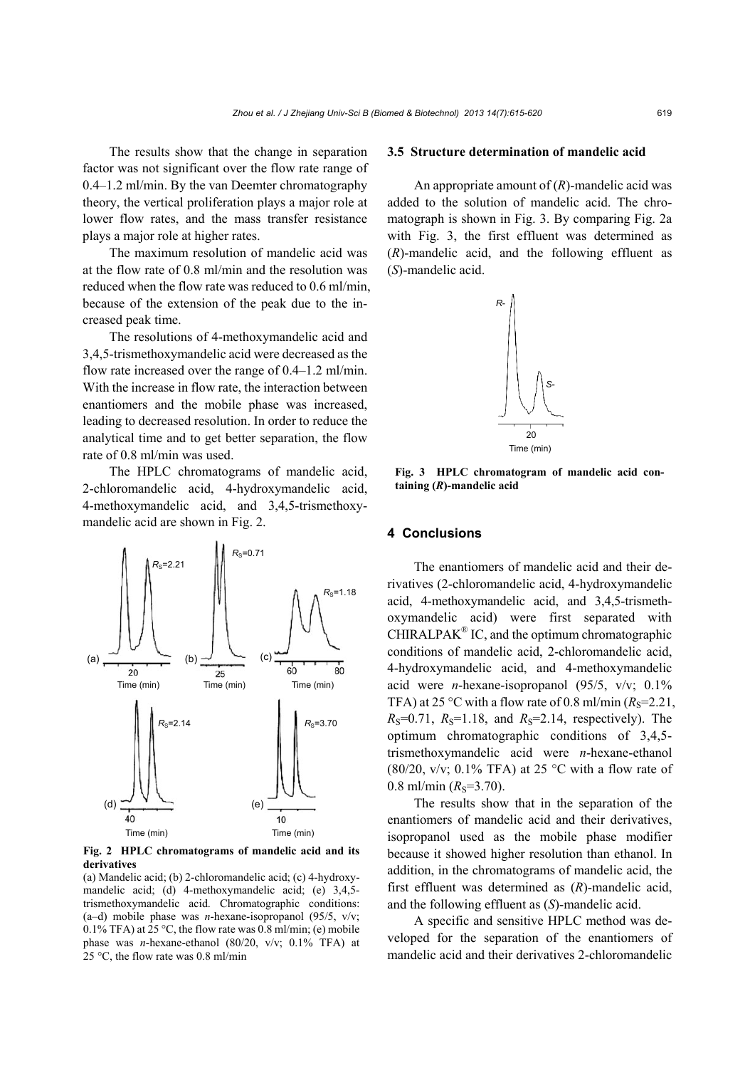The results show that the change in separation factor was not significant over the flow rate range of 0.4–1.2 ml/min. By the van Deemter chromatography theory, the vertical proliferation plays a major role at lower flow rates, and the mass transfer resistance plays a major role at higher rates.

The maximum resolution of mandelic acid was at the flow rate of 0.8 ml/min and the resolution was reduced when the flow rate was reduced to 0.6 ml/min, because of the extension of the peak due to the increased peak time.

The resolutions of 4-methoxymandelic acid and 3,4,5-trismethoxymandelic acid were decreased as the flow rate increased over the range of 0.4–1.2 ml/min. With the increase in flow rate, the interaction between enantiomers and the mobile phase was increased, leading to decreased resolution. In order to reduce the analytical time and to get better separation, the flow rate of 0.8 ml/min was used.

The HPLC chromatograms of mandelic acid, 2-chloromandelic acid, 4-hydroxymandelic acid, 4-methoxymandelic acid, and 3,4,5-trismethoxymandelic acid are shown in Fig. 2.



**Fig. 2 HPLC chromatograms of mandelic acid and its derivatives** 

(a) Mandelic acid; (b) 2-chloromandelic acid; (c) 4-hydroxymandelic acid; (d) 4-methoxymandelic acid; (e) 3,4,5 trismethoxymandelic acid. Chromatographic conditions: (a–d) mobile phase was *n*-hexane-isopropanol (95/5, v/v;  $0.1\%$  TFA) at  $25\degree$ C, the flow rate was  $0.8$  ml/min; (e) mobile phase was *n*-hexane-ethanol (80/20, v/v; 0.1% TFA) at 25 °C, the flow rate was 0.8 ml/min

#### **3.5 Structure determination of mandelic acid**

An appropriate amount of (*R*)-mandelic acid was added to the solution of mandelic acid. The chromatograph is shown in Fig. 3. By comparing Fig. 2a with Fig. 3, the first effluent was determined as (*R*)-mandelic acid, and the following effluent as (*S*)-mandelic acid.



**Fig. 3 HPLC chromatogram of mandelic acid containing (***R***)-mandelic acid**

#### **4 Conclusions**

The enantiomers of mandelic acid and their derivatives (2-chloromandelic acid, 4-hydroxymandelic acid, 4-methoxymandelic acid, and 3,4,5-trismethoxymandelic acid) were first separated with  $CHIRALPAK^{\circledR}$  IC, and the optimum chromatographic conditions of mandelic acid, 2-chloromandelic acid, 4-hydroxymandelic acid, and 4-methoxymandelic acid were *n*-hexane-isopropanol (95/5, v/v; 0.1% TFA) at 25 °C with a flow rate of 0.8 ml/min  $(R<sub>S</sub>=2.21$ ,  $R_S=0.71$ ,  $R_S=1.18$ , and  $R_S=2.14$ , respectively). The optimum chromatographic conditions of 3,4,5 trismethoxymandelic acid were *n*-hexane-ethanol (80/20, v/v; 0.1% TFA) at 25 °C with a flow rate of  $0.8$  ml/min  $(R_s=3.70)$ .

The results show that in the separation of the enantiomers of mandelic acid and their derivatives, isopropanol used as the mobile phase modifier because it showed higher resolution than ethanol. In addition, in the chromatograms of mandelic acid, the first effluent was determined as (*R*)-mandelic acid, and the following effluent as (*S*)-mandelic acid.

A specific and sensitive HPLC method was developed for the separation of the enantiomers of mandelic acid and their derivatives 2-chloromandelic